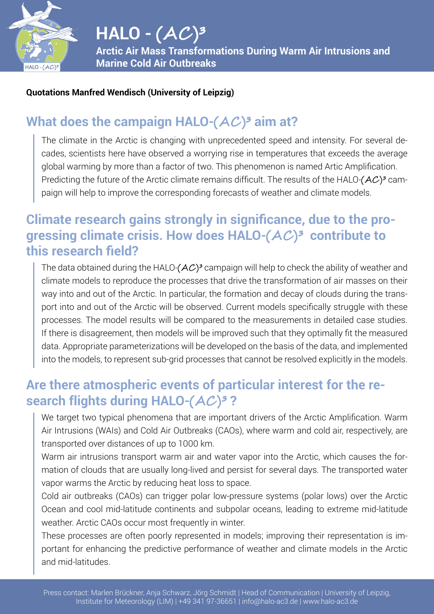

#### **Quotations Manfred Wendisch (University of Leipzig)**

## **What does the campaign HALO-** $(AC)^3$  **aim at?**

The climate in the Arctic is changing with unprecedented speed and intensity. For several decades, scientists here have observed a worrying rise in temperatures that exceeds the average global warming by more than a factor of two. This phenomenon is named Artic Amplification. Predicting the future of the Arctic climate remains difficult. The results of the HALO- $(AC)^3$  campaign will help to improve the corresponding forecasts of weather and climate models.

### **Climate research gains strongly in significance, due to the progressing climate crisis. How does HALO-(AC )³ contribute to this research field?**

The data obtained during the HALO- $(AC)^3$  campaign will help to check the ability of weather and climate models to reproduce the processes that drive the transformation of air masses on their way into and out of the Arctic. In particular, the formation and decay of clouds during the transport into and out of the Arctic will be observed. Current models specifically struggle with these processes. The model results will be compared to the measurements in detailed case studies. If there is disagreement, then models will be improved such that they optimally fit the measured data. Appropriate parameterizations will be developed on the basis of the data, and implemented into the models, to represent sub-grid processes that cannot be resolved explicitly in the models.

#### **Are there atmospheric events of particular interest for the research flights during HALO-(AC )³ ?**

We target two typical phenomena that are important drivers of the Arctic Amplification. Warm Air Intrusions (WAIs) and Cold Air Outbreaks (CAOs), where warm and cold air, respectively, are transported over distances of up to 1000 km.

Warm air intrusions transport warm air and water vapor into the Arctic, which causes the formation of clouds that are usually long-lived and persist for several days. The transported water vapor warms the Arctic by reducing heat loss to space.

Cold air outbreaks (CAOs) can trigger polar low-pressure systems (polar lows) over the Arctic Ocean and cool mid-latitude continents and subpolar oceans, leading to extreme mid-latitude weather. Arctic CAOs occur most frequently in winter.

These processes are often poorly represented in models; improving their representation is important for enhancing the predictive performance of weather and climate models in the Arctic and mid-latitudes.